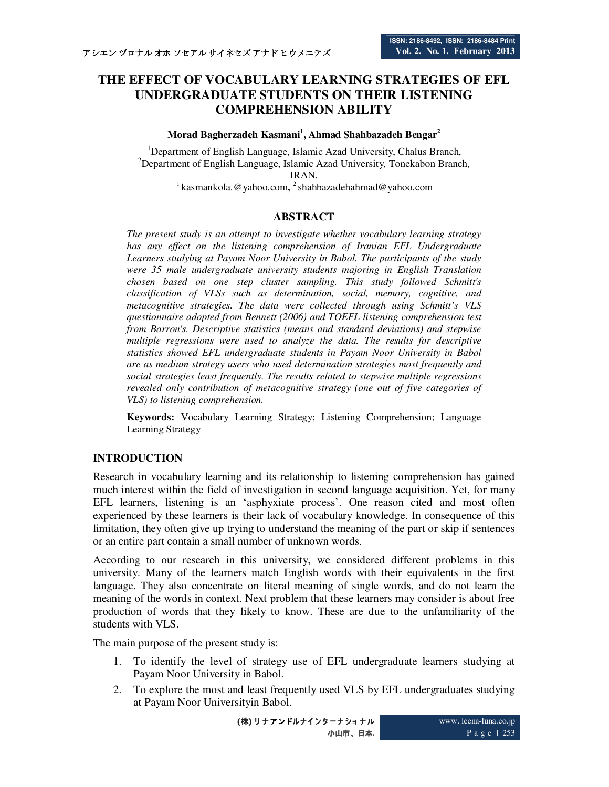# **THE EFFECT OF VOCABULARY LEARNING STRATEGIES OF EFL UNDERGRADUATE STUDENTS ON THEIR LISTENING COMPREHENSION ABILITY**

### **Morad Bagherzadeh Kasmani<sup>1</sup> , Ahmad Shahbazadeh Bengar<sup>2</sup>**

<sup>1</sup>Department of English Language, Islamic Azad University, Chalus Branch, <sup>2</sup>Department of English Language, Islamic Azad University, Tonekabon Branch, IRAN.

<sup>1</sup> kasmankola. @yahoo.com, <sup>2</sup> shahbazadehahmad@yahoo.com

## **ABSTRACT**

*The present study is an attempt to investigate whether vocabulary learning strategy has any effect on the listening comprehension of Iranian EFL Undergraduate Learners studying at Payam Noor University in Babol. The participants of the study were 35 male undergraduate university students majoring in English Translation chosen based on one step cluster sampling. This study followed Schmitt's classification of VLSs such as determination, social, memory, cognitive, and metacognitive strategies. The data were collected through using Schmitt's VLS questionnaire adopted from Bennett (2006) and TOEFL listening comprehension test from Barron's. Descriptive statistics (means and standard deviations) and stepwise multiple regressions were used to analyze the data. The results for descriptive statistics showed EFL undergraduate students in Payam Noor University in Babol are as medium strategy users who used determination strategies most frequently and social strategies least frequently. The results related to stepwise multiple regressions revealed only contribution of metacognitive strategy (one out of five categories of VLS) to listening comprehension.* 

**Keywords:** Vocabulary Learning Strategy; Listening Comprehension; Language Learning Strategy

# **INTRODUCTION**

Research in vocabulary learning and its relationship to listening comprehension has gained much interest within the field of investigation in second language acquisition. Yet, for many EFL learners, listening is an 'asphyxiate process'. One reason cited and most often experienced by these learners is their lack of vocabulary knowledge. In consequence of this limitation, they often give up trying to understand the meaning of the part or skip if sentences or an entire part contain a small number of unknown words.

According to our research in this university, we considered different problems in this university. Many of the learners match English words with their equivalents in the first language. They also concentrate on literal meaning of single words, and do not learn the meaning of the words in context. Next problem that these learners may consider is about free production of words that they likely to know. These are due to the unfamiliarity of the students with VLS.

The main purpose of the present study is:

- 1. To identify the level of strategy use of EFL undergraduate learners studying at Payam Noor University in Babol.
- 2. To explore the most and least frequently used VLS by EFL undergraduates studying at Payam Noor Universityin Babol.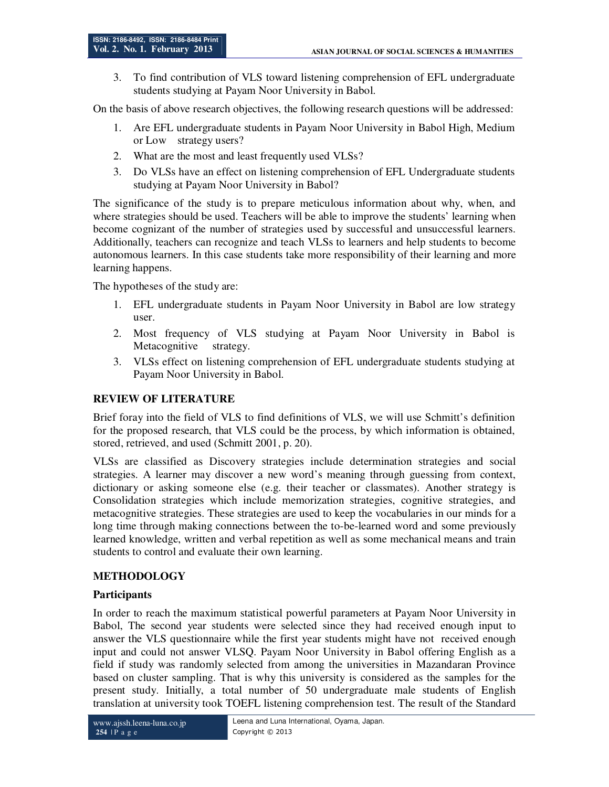3. To find contribution of VLS toward listening comprehension of EFL undergraduate students studying at Payam Noor University in Babol.

On the basis of above research objectives, the following research questions will be addressed:

- 1. Are EFL undergraduate students in Payam Noor University in Babol High, Medium or Low strategy users?
- 2. What are the most and least frequently used VLSs?
- 3. Do VLSs have an effect on listening comprehension of EFL Undergraduate students studying at Payam Noor University in Babol?

The significance of the study is to prepare meticulous information about why, when, and where strategies should be used. Teachers will be able to improve the students' learning when become cognizant of the number of strategies used by successful and unsuccessful learners. Additionally, teachers can recognize and teach VLSs to learners and help students to become autonomous learners. In this case students take more responsibility of their learning and more learning happens.

The hypotheses of the study are:

- 1. EFL undergraduate students in Payam Noor University in Babol are low strategy user.
- 2. Most frequency of VLS studying at Payam Noor University in Babol is Metacognitive strategy.
- 3. VLSs effect on listening comprehension of EFL undergraduate students studying at Payam Noor University in Babol.

# **REVIEW OF LITERATURE**

Brief foray into the field of VLS to find definitions of VLS, we will use Schmitt's definition for the proposed research, that VLS could be the process, by which information is obtained, stored, retrieved, and used (Schmitt 2001, p. 20).

VLSs are classified as Discovery strategies include determination strategies and social strategies. A learner may discover a new word's meaning through guessing from context, dictionary or asking someone else (e.g. their teacher or classmates). Another strategy is Consolidation strategies which include memorization strategies, cognitive strategies, and metacognitive strategies. These strategies are used to keep the vocabularies in our minds for a long time through making connections between the to-be-learned word and some previously learned knowledge, written and verbal repetition as well as some mechanical means and train students to control and evaluate their own learning.

# **METHODOLOGY**

### **Participants**

In order to reach the maximum statistical powerful parameters at Payam Noor University in Babol, The second year students were selected since they had received enough input to answer the VLS questionnaire while the first year students might have not received enough input and could not answer VLSQ. Payam Noor University in Babol offering English as a field if study was randomly selected from among the universities in Mazandaran Province based on cluster sampling. That is why this university is considered as the samples for the present study. Initially, a total number of 50 undergraduate male students of English translation at university took TOEFL listening comprehension test. The result of the Standard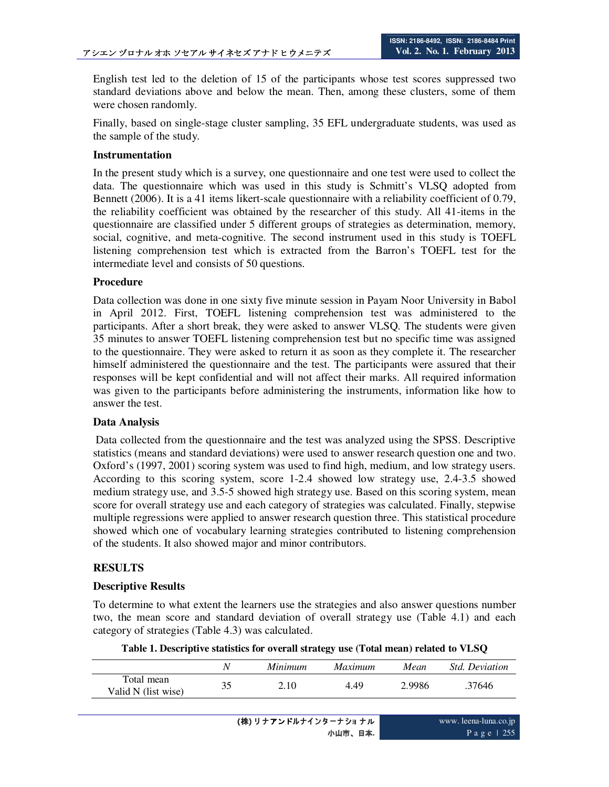English test led to the deletion of 15 of the participants whose test scores suppressed two standard deviations above and below the mean. Then, among these clusters, some of them were chosen randomly.

Finally, based on single-stage cluster sampling, 35 EFL undergraduate students, was used as the sample of the study.

### **Instrumentation**

In the present study which is a survey, one questionnaire and one test were used to collect the data. The questionnaire which was used in this study is Schmitt's VLSQ adopted from Bennett (2006). It is a 41 items likert-scale questionnaire with a reliability coefficient of 0.79, the reliability coefficient was obtained by the researcher of this study. All 41-items in the questionnaire are classified under 5 different groups of strategies as determination, memory, social, cognitive, and meta-cognitive. The second instrument used in this study is TOEFL listening comprehension test which is extracted from the Barron's TOEFL test for the intermediate level and consists of 50 questions.

## **Procedure**

Data collection was done in one sixty five minute session in Payam Noor University in Babol in April 2012. First, TOEFL listening comprehension test was administered to the participants. After a short break, they were asked to answer VLSQ. The students were given 35 minutes to answer TOEFL listening comprehension test but no specific time was assigned to the questionnaire. They were asked to return it as soon as they complete it. The researcher himself administered the questionnaire and the test. The participants were assured that their responses will be kept confidential and will not affect their marks. All required information was given to the participants before administering the instruments, information like how to answer the test.

### **Data Analysis**

 Data collected from the questionnaire and the test was analyzed using the SPSS. Descriptive statistics (means and standard deviations) were used to answer research question one and two. Oxford's (1997, 2001) scoring system was used to find high, medium, and low strategy users. According to this scoring system, score 1-2.4 showed low strategy use, 2.4-3.5 showed medium strategy use, and 3.5-5 showed high strategy use. Based on this scoring system, mean score for overall strategy use and each category of strategies was calculated. Finally, stepwise multiple regressions were applied to answer research question three. This statistical procedure showed which one of vocabulary learning strategies contributed to listening comprehension of the students. It also showed major and minor contributors.

# **RESULTS**

### **Descriptive Results**

To determine to what extent the learners use the strategies and also answer questions number two, the mean score and standard deviation of overall strategy use (Table 4.1) and each category of strategies (Table 4.3) was calculated.

|  | Table 1. Descriptive statistics for overall strategy use (Total mean) related to VLSQ |  |  |  |
|--|---------------------------------------------------------------------------------------|--|--|--|
|--|---------------------------------------------------------------------------------------|--|--|--|

|                                   | N  | Minimum | <i>Maximum</i> | Mean   | <i>Std. Deviation</i> |
|-----------------------------------|----|---------|----------------|--------|-----------------------|
| Total mean<br>Valid N (list wise) | 35 | 2.10    | 4.49           | 2.9986 | .37646                |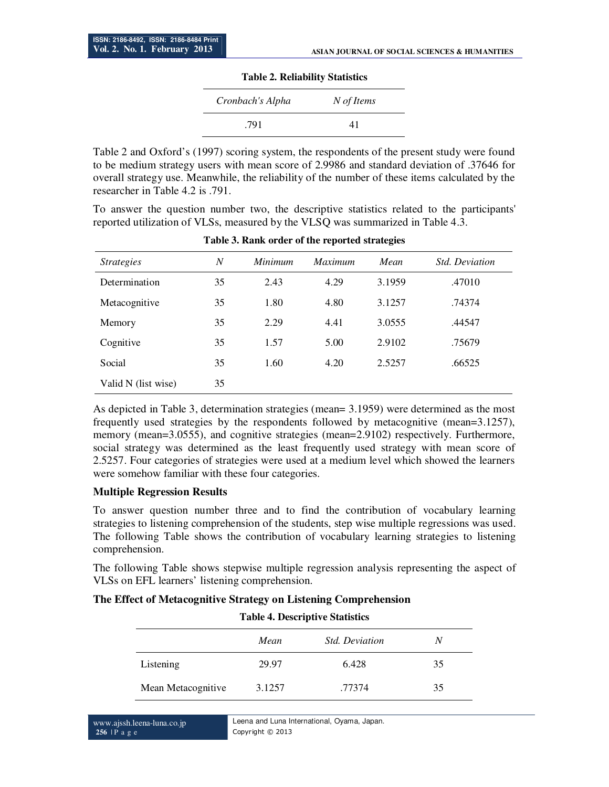#### **Table 2. Reliability Statistics**

| Cronbach's Alpha | N of Items |
|------------------|------------|
| .791             | 41         |

Table 2 and Oxford's (1997) scoring system, the respondents of the present study were found to be medium strategy users with mean score of 2.9986 and standard deviation of .37646 for overall strategy use. Meanwhile, the reliability of the number of these items calculated by the researcher in Table 4.2 is .791.

To answer the question number two, the descriptive statistics related to the participants' reported utilization of VLSs, measured by the VLSQ was summarized in Table 4.3.

| <i><u><b>Strategies</b></u></i> | N<br><i>Minimum</i> |      | <i>Maximum</i> | Mean   | <i>Std. Deviation</i> |
|---------------------------------|---------------------|------|----------------|--------|-----------------------|
| Determination                   | 35                  | 2.43 | 4.29           | 3.1959 | .47010                |
| Metacognitive                   | 35                  | 1.80 | 4.80           | 3.1257 | .74374                |
| Memory                          | 35                  | 2.29 | 4.41           | 3.0555 | .44547                |
| Cognitive                       | 35                  | 1.57 | 5.00           | 2.9102 | .75679                |
| Social                          | 35                  | 1.60 | 4.20           | 2.5257 | .66525                |
| Valid N (list wise)             | 35                  |      |                |        |                       |

**Table 3. Rank order of the reported strategies** 

As depicted in Table 3, determination strategies (mean= 3.1959) were determined as the most frequently used strategies by the respondents followed by metacognitive (mean=3.1257), memory (mean=3.0555), and cognitive strategies (mean=2.9102) respectively. Furthermore, social strategy was determined as the least frequently used strategy with mean score of 2.5257. Four categories of strategies were used at a medium level which showed the learners were somehow familiar with these four categories.

### **Multiple Regression Results**

To answer question number three and to find the contribution of vocabulary learning strategies to listening comprehension of the students, step wise multiple regressions was used. The following Table shows the contribution of vocabulary learning strategies to listening comprehension.

The following Table shows stepwise multiple regression analysis representing the aspect of VLSs on EFL learners' listening comprehension.

|  |  |  |  |  |  | The Effect of Metacognitive Strategy on Listening Comprehension |
|--|--|--|--|--|--|-----------------------------------------------------------------|
|--|--|--|--|--|--|-----------------------------------------------------------------|

| <b>Table 4. Descriptive Statistics</b> |        |                       |    |  |  |
|----------------------------------------|--------|-----------------------|----|--|--|
|                                        | Mean   | <i>Std. Deviation</i> | N  |  |  |
| Listening                              | 29.97  | 6.428                 | 35 |  |  |
| Mean Metacognitive                     | 3.1257 | .77374                | 35 |  |  |

www.ajssh.leena-luna.co.jp **256** | P a g e

Leena and Luna International, Oyama, Japan. Copyright © 2013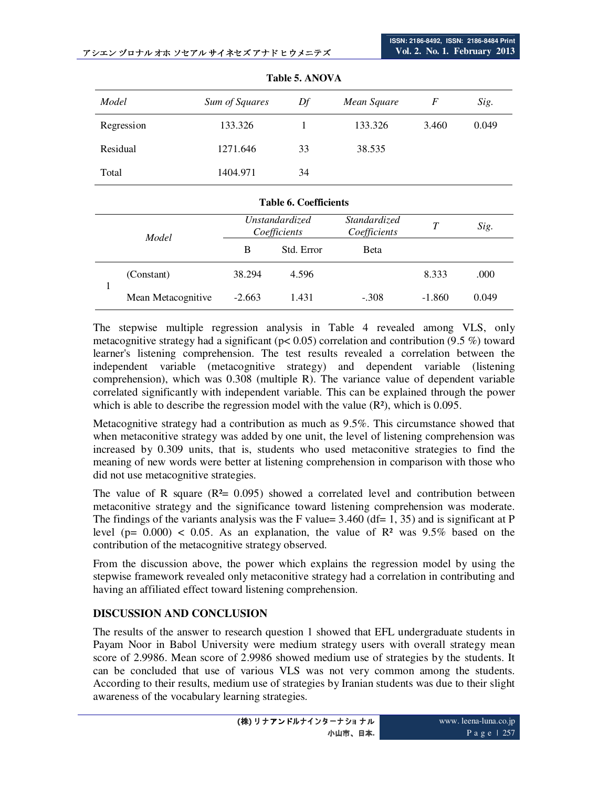| Model      | Sum of Squares | Df | Mean Square | F     | Sig.  |
|------------|----------------|----|-------------|-------|-------|
| Regression | 133.326        |    | 133.326     | 3.460 | 0.049 |
| Residual   | 1271.646       | 33 | 38.535      |       |       |
| Total      | 1404.971       | 34 |             |       |       |

**Table 5. ANOVA** 

|       |                    |                                | <b>Table 6. Coefficients</b> |                              |          |       |
|-------|--------------------|--------------------------------|------------------------------|------------------------------|----------|-------|
| Model |                    | Unstandardized<br>Coefficients |                              | Standardized<br>Coefficients | T        | Sig.  |
|       | B                  | Std. Error                     | <b>B</b> eta                 |                              |          |       |
|       | (Constant)         | 38.294                         | 4.596                        |                              | 8.333    | .000  |
|       | Mean Metacognitive | $-2.663$                       | 1.431                        | $-.308$                      | $-1.860$ | 0.049 |

The stepwise multiple regression analysis in Table 4 revealed among VLS, only metacognitive strategy had a significant ( $p < 0.05$ ) correlation and contribution (9.5 %) toward learner's listening comprehension. The test results revealed a correlation between the independent variable (metacognitive strategy) and dependent variable (listening comprehension), which was 0.308 (multiple R). The variance value of dependent variable correlated significantly with independent variable. This can be explained through the power which is able to describe the regression model with the value  $(R<sup>2</sup>)$ , which is 0.095.

Metacognitive strategy had a contribution as much as 9.5%. This circumstance showed that when metaconitive strategy was added by one unit, the level of listening comprehension was increased by 0.309 units, that is, students who used metaconitive strategies to find the meaning of new words were better at listening comprehension in comparison with those who did not use metacognitive strategies.

The value of R square  $(R<sup>2</sup>= 0.095)$  showed a correlated level and contribution between metaconitive strategy and the significance toward listening comprehension was moderate. The findings of the variants analysis was the F value=  $3.460$  (df= 1, 35) and is significant at P level (p=  $0.000$ ) <  $0.05$ . As an explanation, the value of R<sup>2</sup> was 9.5% based on the contribution of the metacognitive strategy observed.

From the discussion above, the power which explains the regression model by using the stepwise framework revealed only metaconitive strategy had a correlation in contributing and having an affiliated effect toward listening comprehension.

# **DISCUSSION AND CONCLUSION**

The results of the answer to research question 1 showed that EFL undergraduate students in Payam Noor in Babol University were medium strategy users with overall strategy mean score of 2.9986. Mean score of 2.9986 showed medium use of strategies by the students. It can be concluded that use of various VLS was not very common among the students. According to their results, medium use of strategies by Iranian students was due to their slight awareness of the vocabulary learning strategies.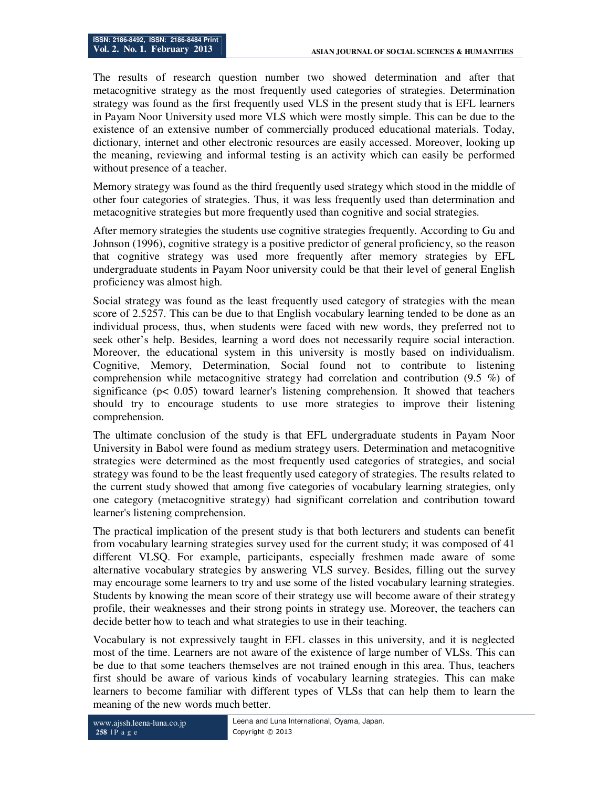The results of research question number two showed determination and after that metacognitive strategy as the most frequently used categories of strategies. Determination strategy was found as the first frequently used VLS in the present study that is EFL learners in Payam Noor University used more VLS which were mostly simple. This can be due to the existence of an extensive number of commercially produced educational materials. Today, dictionary, internet and other electronic resources are easily accessed. Moreover, looking up the meaning, reviewing and informal testing is an activity which can easily be performed without presence of a teacher.

Memory strategy was found as the third frequently used strategy which stood in the middle of other four categories of strategies. Thus, it was less frequently used than determination and metacognitive strategies but more frequently used than cognitive and social strategies.

After memory strategies the students use cognitive strategies frequently. According to Gu and Johnson (1996), cognitive strategy is a positive predictor of general proficiency, so the reason that cognitive strategy was used more frequently after memory strategies by EFL undergraduate students in Payam Noor university could be that their level of general English proficiency was almost high.

Social strategy was found as the least frequently used category of strategies with the mean score of 2.5257. This can be due to that English vocabulary learning tended to be done as an individual process, thus, when students were faced with new words, they preferred not to seek other's help. Besides, learning a word does not necessarily require social interaction. Moreover, the educational system in this university is mostly based on individualism. Cognitive, Memory, Determination, Social found not to contribute to listening comprehension while metacognitive strategy had correlation and contribution (9.5 %) of significance ( $p < 0.05$ ) toward learner's listening comprehension. It showed that teachers should try to encourage students to use more strategies to improve their listening comprehension.

The ultimate conclusion of the study is that EFL undergraduate students in Payam Noor University in Babol were found as medium strategy users. Determination and metacognitive strategies were determined as the most frequently used categories of strategies, and social strategy was found to be the least frequently used category of strategies. The results related to the current study showed that among five categories of vocabulary learning strategies, only one category (metacognitive strategy) had significant correlation and contribution toward learner's listening comprehension.

The practical implication of the present study is that both lecturers and students can benefit from vocabulary learning strategies survey used for the current study; it was composed of 41 different VLSQ. For example, participants, especially freshmen made aware of some alternative vocabulary strategies by answering VLS survey. Besides, filling out the survey may encourage some learners to try and use some of the listed vocabulary learning strategies. Students by knowing the mean score of their strategy use will become aware of their strategy profile, their weaknesses and their strong points in strategy use. Moreover, the teachers can decide better how to teach and what strategies to use in their teaching.

Vocabulary is not expressively taught in EFL classes in this university, and it is neglected most of the time. Learners are not aware of the existence of large number of VLSs. This can be due to that some teachers themselves are not trained enough in this area. Thus, teachers first should be aware of various kinds of vocabulary learning strategies. This can make learners to become familiar with different types of VLSs that can help them to learn the meaning of the new words much better.